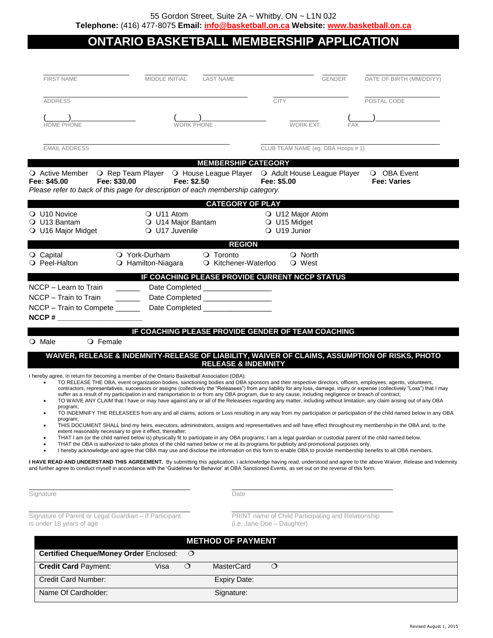# **ONTARIO BASKETBALL MEMBERSHIP APPLICATION**

| <b>FIRST NAME</b>                                                                                                                                                                                                                                                                                                               | MIDDLE INITIAL<br><b>LAST NAME</b> |                                                                                                                                                                                                                                                                                                                                                                                                                                                                                                                                                                                                                                                                                                                                                                                                                                                                                                                                                                                                                                                                                                                                                                                                                                                                                                                                                                                                                                                                                                       | <b>GENDER</b> | DATE OF BIRTH (MM/DD/YY)          |
|---------------------------------------------------------------------------------------------------------------------------------------------------------------------------------------------------------------------------------------------------------------------------------------------------------------------------------|------------------------------------|-------------------------------------------------------------------------------------------------------------------------------------------------------------------------------------------------------------------------------------------------------------------------------------------------------------------------------------------------------------------------------------------------------------------------------------------------------------------------------------------------------------------------------------------------------------------------------------------------------------------------------------------------------------------------------------------------------------------------------------------------------------------------------------------------------------------------------------------------------------------------------------------------------------------------------------------------------------------------------------------------------------------------------------------------------------------------------------------------------------------------------------------------------------------------------------------------------------------------------------------------------------------------------------------------------------------------------------------------------------------------------------------------------------------------------------------------------------------------------------------------------|---------------|-----------------------------------|
| <b>ADDRESS</b>                                                                                                                                                                                                                                                                                                                  |                                    | <b>CITY</b>                                                                                                                                                                                                                                                                                                                                                                                                                                                                                                                                                                                                                                                                                                                                                                                                                                                                                                                                                                                                                                                                                                                                                                                                                                                                                                                                                                                                                                                                                           |               | POSTAL CODE                       |
|                                                                                                                                                                                                                                                                                                                                 |                                    |                                                                                                                                                                                                                                                                                                                                                                                                                                                                                                                                                                                                                                                                                                                                                                                                                                                                                                                                                                                                                                                                                                                                                                                                                                                                                                                                                                                                                                                                                                       |               |                                   |
| <b>HOME PHONE</b>                                                                                                                                                                                                                                                                                                               | <b>WORK PHONE</b>                  | WORK EXT.                                                                                                                                                                                                                                                                                                                                                                                                                                                                                                                                                                                                                                                                                                                                                                                                                                                                                                                                                                                                                                                                                                                                                                                                                                                                                                                                                                                                                                                                                             | FAX           |                                   |
| <b>EMAIL ADDRESS</b>                                                                                                                                                                                                                                                                                                            |                                    | CLUB TEAM NAME (eg. OBA Hoops # 1)                                                                                                                                                                                                                                                                                                                                                                                                                                                                                                                                                                                                                                                                                                                                                                                                                                                                                                                                                                                                                                                                                                                                                                                                                                                                                                                                                                                                                                                                    |               |                                   |
|                                                                                                                                                                                                                                                                                                                                 |                                    | <b>MEMBERSHIP CATEGORY</b>                                                                                                                                                                                                                                                                                                                                                                                                                                                                                                                                                                                                                                                                                                                                                                                                                                                                                                                                                                                                                                                                                                                                                                                                                                                                                                                                                                                                                                                                            |               |                                   |
| O Active Member O Rep Team Player O House League Player O Adult House League Player<br>Fee: \$30.00<br>Fee: \$45.00<br>Please refer to back of this page for description of each membership category.                                                                                                                           | Fee: \$2.50                        | Fee: \$5.00                                                                                                                                                                                                                                                                                                                                                                                                                                                                                                                                                                                                                                                                                                                                                                                                                                                                                                                                                                                                                                                                                                                                                                                                                                                                                                                                                                                                                                                                                           |               | O OBA Event<br><b>Fee: Varies</b> |
|                                                                                                                                                                                                                                                                                                                                 | O U11 Atom                         | <b>CATEGORY OF PLAY</b>                                                                                                                                                                                                                                                                                                                                                                                                                                                                                                                                                                                                                                                                                                                                                                                                                                                                                                                                                                                                                                                                                                                                                                                                                                                                                                                                                                                                                                                                               |               |                                   |
| $\bigcirc$ U10 Novice<br>O U13 Bantam                                                                                                                                                                                                                                                                                           | O U14 Major Bantam                 | O U12 Major Atom<br>O U15 Midget                                                                                                                                                                                                                                                                                                                                                                                                                                                                                                                                                                                                                                                                                                                                                                                                                                                                                                                                                                                                                                                                                                                                                                                                                                                                                                                                                                                                                                                                      |               |                                   |
| O U16 Major Midget                                                                                                                                                                                                                                                                                                              | O U17 Juvenile                     | O U19 Junior                                                                                                                                                                                                                                                                                                                                                                                                                                                                                                                                                                                                                                                                                                                                                                                                                                                                                                                                                                                                                                                                                                                                                                                                                                                                                                                                                                                                                                                                                          |               |                                   |
|                                                                                                                                                                                                                                                                                                                                 |                                    | <b>REGION</b>                                                                                                                                                                                                                                                                                                                                                                                                                                                                                                                                                                                                                                                                                                                                                                                                                                                                                                                                                                                                                                                                                                                                                                                                                                                                                                                                                                                                                                                                                         |               |                                   |
| O Capital                                                                                                                                                                                                                                                                                                                       | O York-Durham                      | O Toronto<br>O North                                                                                                                                                                                                                                                                                                                                                                                                                                                                                                                                                                                                                                                                                                                                                                                                                                                                                                                                                                                                                                                                                                                                                                                                                                                                                                                                                                                                                                                                                  |               |                                   |
| O Peel-Halton                                                                                                                                                                                                                                                                                                                   | O Hamilton-Niagara                 | O Kitchener-Waterloo<br>O West                                                                                                                                                                                                                                                                                                                                                                                                                                                                                                                                                                                                                                                                                                                                                                                                                                                                                                                                                                                                                                                                                                                                                                                                                                                                                                                                                                                                                                                                        |               |                                   |
|                                                                                                                                                                                                                                                                                                                                 |                                    | IF COACHING PLEASE PROVIDE CURRENT NCCP STATUS                                                                                                                                                                                                                                                                                                                                                                                                                                                                                                                                                                                                                                                                                                                                                                                                                                                                                                                                                                                                                                                                                                                                                                                                                                                                                                                                                                                                                                                        |               |                                   |
| NCCP - Learn to Train                                                                                                                                                                                                                                                                                                           | Date Completed _________________   |                                                                                                                                                                                                                                                                                                                                                                                                                                                                                                                                                                                                                                                                                                                                                                                                                                                                                                                                                                                                                                                                                                                                                                                                                                                                                                                                                                                                                                                                                                       |               |                                   |
| NCCP - Train to Train<br>$\mathcal{L}^{\text{max}}_{\text{max}}$ , and $\mathcal{L}^{\text{max}}_{\text{max}}$                                                                                                                                                                                                                  | Date Completed __________________  |                                                                                                                                                                                                                                                                                                                                                                                                                                                                                                                                                                                                                                                                                                                                                                                                                                                                                                                                                                                                                                                                                                                                                                                                                                                                                                                                                                                                                                                                                                       |               |                                   |
| NCCP - Train to Compete _____                                                                                                                                                                                                                                                                                                   |                                    |                                                                                                                                                                                                                                                                                                                                                                                                                                                                                                                                                                                                                                                                                                                                                                                                                                                                                                                                                                                                                                                                                                                                                                                                                                                                                                                                                                                                                                                                                                       |               |                                   |
| $NCCP \#$                                                                                                                                                                                                                                                                                                                       |                                    |                                                                                                                                                                                                                                                                                                                                                                                                                                                                                                                                                                                                                                                                                                                                                                                                                                                                                                                                                                                                                                                                                                                                                                                                                                                                                                                                                                                                                                                                                                       |               |                                   |
|                                                                                                                                                                                                                                                                                                                                 |                                    |                                                                                                                                                                                                                                                                                                                                                                                                                                                                                                                                                                                                                                                                                                                                                                                                                                                                                                                                                                                                                                                                                                                                                                                                                                                                                                                                                                                                                                                                                                       |               |                                   |
|                                                                                                                                                                                                                                                                                                                                 |                                    | IF COACHING PLEASE PROVIDE GENDER OF TEAM COACHING                                                                                                                                                                                                                                                                                                                                                                                                                                                                                                                                                                                                                                                                                                                                                                                                                                                                                                                                                                                                                                                                                                                                                                                                                                                                                                                                                                                                                                                    |               |                                   |
| $\bigcirc$ Male<br>$\circ$ Female                                                                                                                                                                                                                                                                                               |                                    |                                                                                                                                                                                                                                                                                                                                                                                                                                                                                                                                                                                                                                                                                                                                                                                                                                                                                                                                                                                                                                                                                                                                                                                                                                                                                                                                                                                                                                                                                                       |               |                                   |
|                                                                                                                                                                                                                                                                                                                                 |                                    | WAIVER, RELEASE & INDEMNITY-RELEASE OF LIABILITY, WAIVER OF CLAIMS, ASSUMPTION OF RISKS, PHOTO<br><b>RELEASE &amp; INDEMNITY</b>                                                                                                                                                                                                                                                                                                                                                                                                                                                                                                                                                                                                                                                                                                                                                                                                                                                                                                                                                                                                                                                                                                                                                                                                                                                                                                                                                                      |               |                                   |
| I hereby agree, in return for becoming a member of the Ontario Basketball Association (OBA):<br>program;<br>program;<br>extent reasonably necessary to give it effect, thereafter;                                                                                                                                              |                                    | TO RELEASE THE OBA, event organization bodies, sanctioning bodies and OBA sponsors and their respective directors, officers, employees, agents, volunteers,<br>contractors, representatives, successors or assigns (collectively the "Releasees") from any liability for any loss, damage, injury or expense (collectively "Loss") that I may<br>suffer as a result of my participation in and transportation to or from any OBA program, due to any cause, including negligence or breach of contract;<br>TO WAIVE ANY CLAIM that I have or may have against any or all of the Releasees regarding any matter, including without limitation, any claim arising out of any OBA<br>TO INDEMNIFY THE RELEASEES from any and all claims, actions or Loss resulting in any way from my participation or participation of the child named below in any OBA<br>.<br>THIS DOCUMENT SHALL bind my heirs, executors, administrators, assigns and representatives and will have effect throughout my membership in the OBA and, to the<br>THAT I am (or the child named below is) physically fit to participate in any OBA programs; I am a legal guardian or custodial parent of the child named below.<br>THAT the OBA is authorized to take photos of the child named below or me at its programs for publicity and promotional purposes only.<br>I hereby acknowledge and agree that OBA may use and disclose the information on this form to enable OBA to provide membership benefits to all OBA members. |               |                                   |
| I HAVE READ AND UNDERSTAND THIS AGREEMENT. By submitting this application, I acknowledge having read, understood and agree to the above Waiver, Release and Indemnity<br>and further agree to conduct myself in accordance with the 'Guidelines for Behavior' at OBA Sanctioned Events, as set out on the reverse of this form. |                                    |                                                                                                                                                                                                                                                                                                                                                                                                                                                                                                                                                                                                                                                                                                                                                                                                                                                                                                                                                                                                                                                                                                                                                                                                                                                                                                                                                                                                                                                                                                       |               |                                   |
| Signature                                                                                                                                                                                                                                                                                                                       |                                    | Date                                                                                                                                                                                                                                                                                                                                                                                                                                                                                                                                                                                                                                                                                                                                                                                                                                                                                                                                                                                                                                                                                                                                                                                                                                                                                                                                                                                                                                                                                                  |               |                                   |
| Signature of Parent or Legal Guardian - If Participant<br>is under 18 years of age                                                                                                                                                                                                                                              |                                    | PRINT name of Child Participating and Relationship<br>(i.e. Jane Doe - Daughter)                                                                                                                                                                                                                                                                                                                                                                                                                                                                                                                                                                                                                                                                                                                                                                                                                                                                                                                                                                                                                                                                                                                                                                                                                                                                                                                                                                                                                      |               |                                   |
| <b>METHOD OF PAYMENT</b>                                                                                                                                                                                                                                                                                                        |                                    |                                                                                                                                                                                                                                                                                                                                                                                                                                                                                                                                                                                                                                                                                                                                                                                                                                                                                                                                                                                                                                                                                                                                                                                                                                                                                                                                                                                                                                                                                                       |               |                                   |
| <b>Certified Cheque/Money Order Enclosed:</b>                                                                                                                                                                                                                                                                                   | $\circ$                            |                                                                                                                                                                                                                                                                                                                                                                                                                                                                                                                                                                                                                                                                                                                                                                                                                                                                                                                                                                                                                                                                                                                                                                                                                                                                                                                                                                                                                                                                                                       |               |                                   |
| <b>Credit Card Payment:</b>                                                                                                                                                                                                                                                                                                     | Visa<br>$\circ$                    | <b>MasterCard</b><br>$\circ$                                                                                                                                                                                                                                                                                                                                                                                                                                                                                                                                                                                                                                                                                                                                                                                                                                                                                                                                                                                                                                                                                                                                                                                                                                                                                                                                                                                                                                                                          |               |                                   |
| Credit Card Number:                                                                                                                                                                                                                                                                                                             |                                    | <b>Expiry Date:</b>                                                                                                                                                                                                                                                                                                                                                                                                                                                                                                                                                                                                                                                                                                                                                                                                                                                                                                                                                                                                                                                                                                                                                                                                                                                                                                                                                                                                                                                                                   |               |                                   |